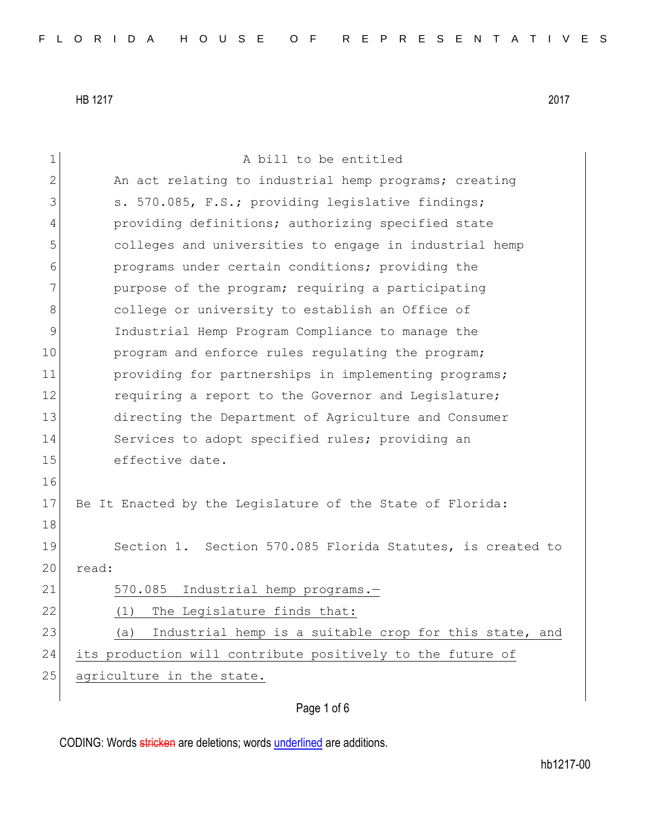| 1             | A bill to be entitled                                         |
|---------------|---------------------------------------------------------------|
| $\mathbf{2}$  | An act relating to industrial hemp programs; creating         |
| 3             | s. 570.085, F.S.; providing legislative findings;             |
| 4             | providing definitions; authorizing specified state            |
| 5             | colleges and universities to engage in industrial hemp        |
| 6             | programs under certain conditions; providing the              |
| 7             | purpose of the program; requiring a participating             |
| 8             | college or university to establish an Office of               |
| $\mathcal{G}$ | Industrial Hemp Program Compliance to manage the              |
| 10            | program and enforce rules regulating the program;             |
| 11            | providing for partnerships in implementing programs;          |
| 12            | requiring a report to the Governor and Legislature;           |
| 13            | directing the Department of Agriculture and Consumer          |
| 14            | Services to adopt specified rules; providing an               |
| 15            | effective date.                                               |
| 16            |                                                               |
| 17            | Be It Enacted by the Legislature of the State of Florida:     |
| 18            |                                                               |
| 19            | Section 1. Section 570.085 Florida Statutes, is created to    |
| 20            | read:                                                         |
| 21            | Industrial hemp programs.-<br>570.085                         |
| 22            | (1) The Legislature finds that:                               |
| 23            | Industrial hemp is a suitable crop for this state, and<br>(a) |
| 24            | its production will contribute positively to the future of    |
| 25            | agriculture in the state.                                     |
|               |                                                               |

# Page 1 of 6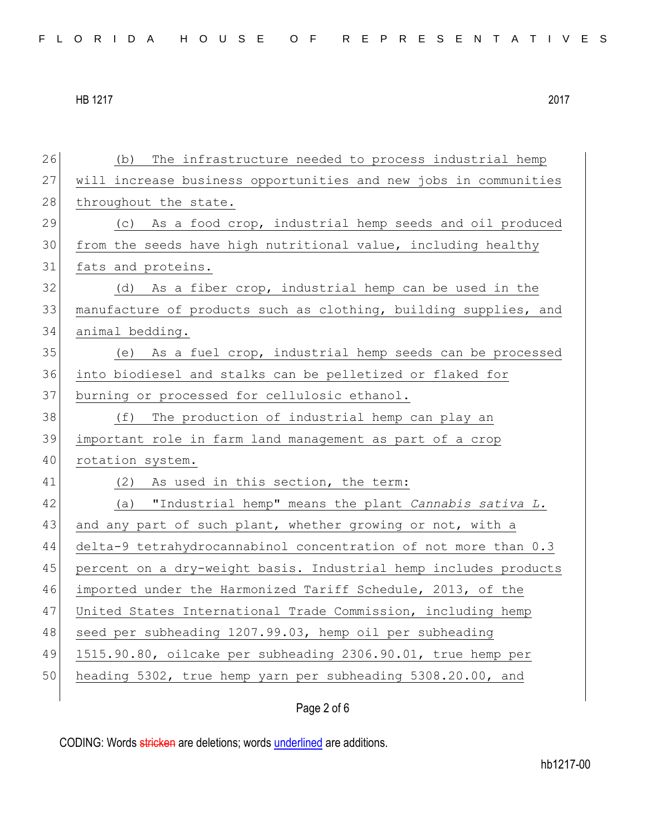26 (b) The infrastructure needed to process industrial hemp 27 will increase business opportunities and new jobs in communities 28 throughout the state. 29 (c) As a food crop, industrial hemp seeds and oil produced 30 from the seeds have high nutritional value, including healthy 31 fats and proteins. 32 (d) As a fiber crop, industrial hemp can be used in the 33 manufacture of products such as clothing, building supplies, and 34 animal bedding. 35 (e) As a fuel crop, industrial hemp seeds can be processed 36 into biodiesel and stalks can be pelletized or flaked for 37 burning or processed for cellulosic ethanol. 38 (f) The production of industrial hemp can play an 39 important role in farm land management as part of a crop 40 rotation system. 41 (2) As used in this section, the term: 42 (a) "Industrial hemp" means the plant *Cannabis sativa L.* 43 and any part of such plant, whether growing or not, with a 44 delta-9 tetrahydrocannabinol concentration of not more than 0.3 45 percent on a dry-weight basis. Industrial hemp includes products 46 imported under the Harmonized Tariff Schedule, 2013, of the 47 United States International Trade Commission, including hemp 48 seed per subheading 1207.99.03, hemp oil per subheading 49 1515.90.80, oilcake per subheading 2306.90.01, true hemp per 50 heading 5302, true hemp yarn per subheading 5308.20.00, and

### Page 2 of 6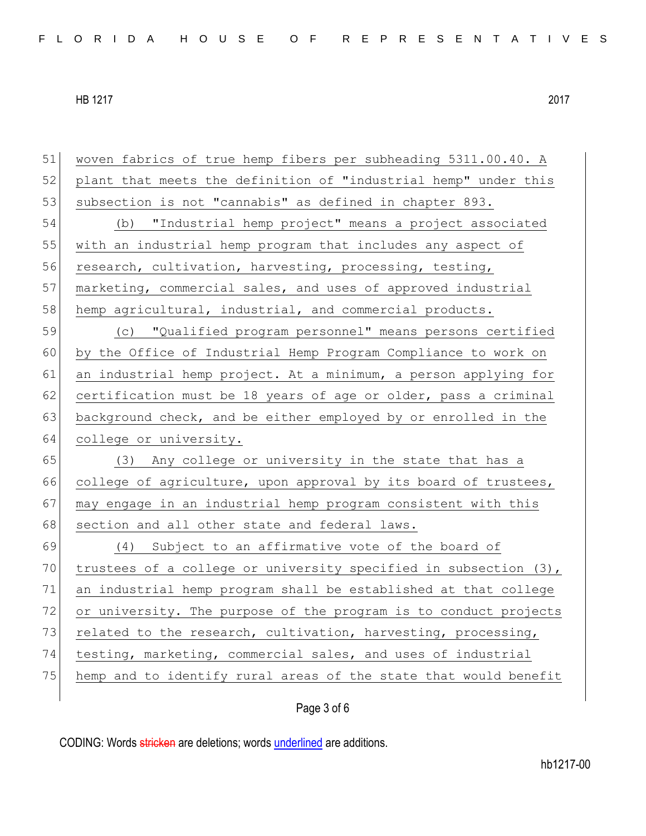| 51 | woven fabrics of true hemp fibers per subheading 5311.00.40. A   |
|----|------------------------------------------------------------------|
| 52 | plant that meets the definition of "industrial hemp" under this  |
| 53 | subsection is not "cannabis" as defined in chapter 893.          |
| 54 | (b) "Industrial hemp project" means a project associated         |
| 55 | with an industrial hemp program that includes any aspect of      |
| 56 | research, cultivation, harvesting, processing, testing,          |
| 57 | marketing, commercial sales, and uses of approved industrial     |
| 58 | hemp agricultural, industrial, and commercial products.          |
| 59 | (c) "Qualified program personnel" means persons certified        |
| 60 | by the Office of Industrial Hemp Program Compliance to work on   |
| 61 | an industrial hemp project. At a minimum, a person applying for  |
| 62 | certification must be 18 years of age or older, pass a criminal  |
| 63 | background check, and be either employed by or enrolled in the   |
|    |                                                                  |
| 64 | college or university.                                           |
| 65 | (3) Any college or university in the state that has a            |
| 66 | college of agriculture, upon approval by its board of trustees,  |
| 67 | may engage in an industrial hemp program consistent with this    |
| 68 | section and all other state and federal laws.                    |
| 69 | Subject to an affirmative vote of the board of<br>(4)            |
| 70 | trustees of a college or university specified in subsection (3), |
| 71 | an industrial hemp program shall be established at that college  |
| 72 | or university. The purpose of the program is to conduct projects |
| 73 | related to the research, cultivation, harvesting, processing,    |
| 74 | testing, marketing, commercial sales, and uses of industrial     |
| 75 | hemp and to identify rural areas of the state that would benefit |

Page 3 of 6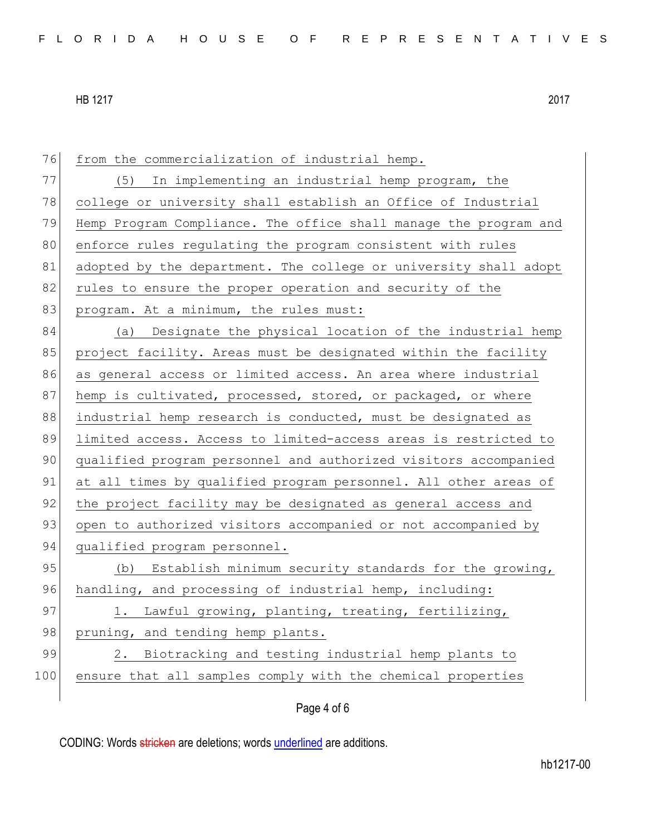| 76  | from the commercialization of industrial hemp.                   |
|-----|------------------------------------------------------------------|
| 77  | (5) In implementing an industrial hemp program, the              |
| 78  | college or university shall establish an Office of Industrial    |
| 79  | Hemp Program Compliance. The office shall manage the program and |
| 80  | enforce rules regulating the program consistent with rules       |
| 81  | adopted by the department. The college or university shall adopt |
| 82  | rules to ensure the proper operation and security of the         |
| 83  | program. At a minimum, the rules must:                           |
| 84  | (a) Designate the physical location of the industrial hemp       |
| 85  | project facility. Areas must be designated within the facility   |
| 86  | as general access or limited access. An area where industrial    |
| 87  | hemp is cultivated, processed, stored, or packaged, or where     |
| 88  | industrial hemp research is conducted, must be designated as     |
| 89  | limited access. Access to limited-access areas is restricted to  |
| 90  | qualified program personnel and authorized visitors accompanied  |
| 91  | at all times by qualified program personnel. All other areas of  |
| 92  | the project facility may be designated as general access and     |
| 93  | open to authorized visitors accompanied or not accompanied by    |
| 94  | qualified program personnel.                                     |
| 95  | (b) Establish minimum security standards for the growing,        |
| 96  | handling, and processing of industrial hemp, including:          |
| 97  | 1. Lawful growing, planting, treating, fertilizing,              |
| 98  | pruning, and tending hemp plants.                                |
| 99  | Biotracking and testing industrial hemp plants to<br>2.          |
| 100 | ensure that all samples comply with the chemical properties      |
|     |                                                                  |

# Page 4 of 6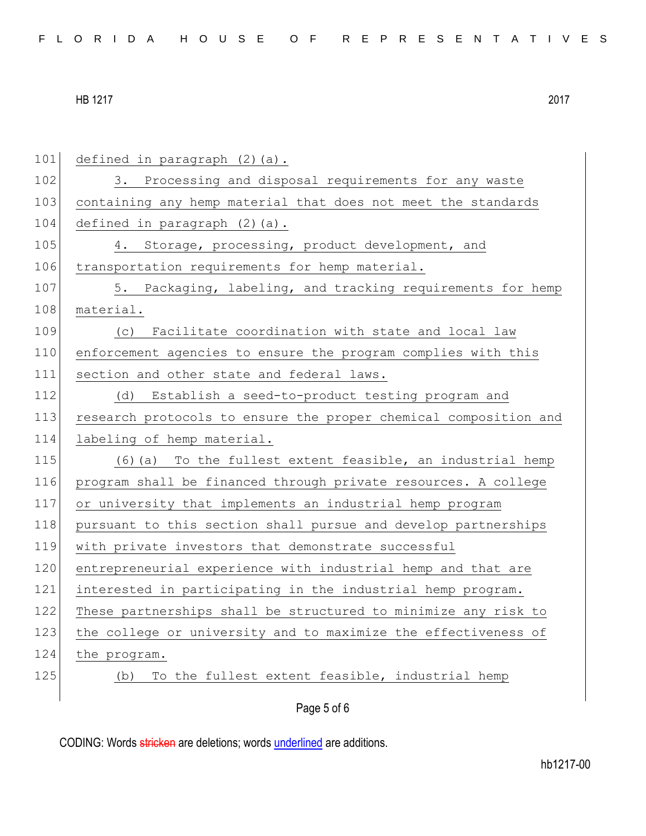| 101 | defined in paragraph (2)(a).                                     |
|-----|------------------------------------------------------------------|
| 102 | 3. Processing and disposal requirements for any waste            |
| 103 | containing any hemp material that does not meet the standards    |
| 104 | defined in paragraph (2) (a).                                    |
| 105 | 4. Storage, processing, product development, and                 |
| 106 | transportation requirements for hemp material.                   |
| 107 | 5. Packaging, labeling, and tracking requirements for hemp       |
| 108 | material.                                                        |
| 109 | Facilitate coordination with state and local law<br>(C)          |
| 110 | enforcement agencies to ensure the program complies with this    |
| 111 | section and other state and federal laws.                        |
| 112 | (d)<br>Establish a seed-to-product testing program and           |
| 113 |                                                                  |
|     | research protocols to ensure the proper chemical composition and |
| 114 | labeling of hemp material.                                       |
| 115 | (6) (a) To the fullest extent feasible, an industrial hemp       |
| 116 | program shall be financed through private resources. A college   |
| 117 | or university that implements an industrial hemp program         |
| 118 | pursuant to this section shall pursue and develop partnerships   |
| 119 | with private investors that demonstrate successful               |
| 120 | entrepreneurial experience with industrial hemp and that are     |
| 121 | interested in participating in the industrial hemp program.      |
| 122 | These partnerships shall be structured to minimize any risk to   |
| 123 | the college or university and to maximize the effectiveness of   |
| 124 | the program.                                                     |
| 125 | To the fullest extent feasible, industrial hemp<br>(b)           |
|     | Page 5 of 6                                                      |
|     |                                                                  |